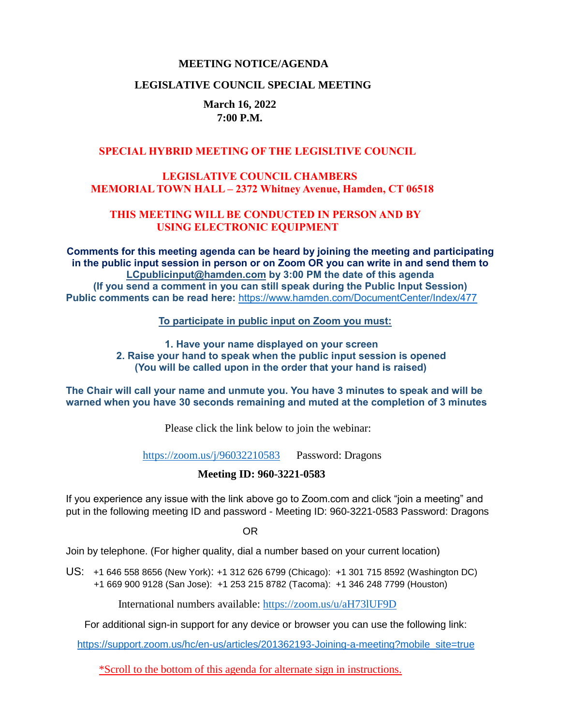#### **MEETING NOTICE/AGENDA**

#### **LEGISLATIVE COUNCIL SPECIAL MEETING**

### **March 16, 2022 7:00 P.M.**

#### **SPECIAL HYBRID MEETING OF THE LEGISLTIVE COUNCIL**

# **LEGISLATIVE COUNCIL CHAMBERS MEMORIAL TOWN HALL – 2372 Whitney Avenue, Hamden, CT 06518**

#### **THIS MEETING WILL BE CONDUCTED IN PERSON AND BY USING ELECTRONIC EQUIPMENT**

**Comments for this meeting agenda can be heard by joining the meeting and participating in the public input session in person or on Zoom OR you can write in and send them to [LCpublicinput@hamden.com](mailto:LCpublicinput@hamden.com) by 3:00 PM the date of this agenda (If you send a comment in you can still speak during the Public Input Session) Public comments can be read here:** <https://www.hamden.com/DocumentCenter/Index/477>

 **To participate in public input on Zoom you must:** 

**1. Have your name displayed on your screen 2. Raise your hand to speak when the public input session is opened (You will be called upon in the order that your hand is raised)** 

**The Chair will call your name and unmute you. You have 3 minutes to speak and will be warned when you have 30 seconds remaining and muted at the completion of 3 minutes**

Please click the link below to join the webinar:

<https://zoom.us/j/96032210583>Password: Dragons

# **Meeting ID: 960-3221-0583**

If you experience any issue with the link above go to Zoom.com and click "join a meeting" and put in the following meeting ID and password - Meeting ID: 960-3221-0583 Password: Dragons

OR

Join by telephone. (For higher quality, dial a number based on your current location)

US: [+1 646 558 8656 \(New York\)](tel:+16465588656): [+1 312 626 6799 \(Chicago\):](tel:+13126266799) [+1 301 715 8592 \(Washington DC\)](tel:+13017158592) +1 669 900 9128 (San Jose): [+1 253 215 8782 \(Tacoma\):](tel:+12532158782) [+1 346 248 7799 \(Houston\)](tel:+13462487799)

International numbers available:<https://zoom.us/u/aH73lUF9D>

For additional sign-in support for any device or browser you can use the following link:

[https://support.zoom.us/hc/en-us/articles/201362193-Joining-a-meeting?mobile\\_site=true](https://support.zoom.us/hc/en-us/articles/201362193-Joining-a-meeting?mobile_site=true)

\*Scroll to the bottom of this agenda for alternate sign in instructions.